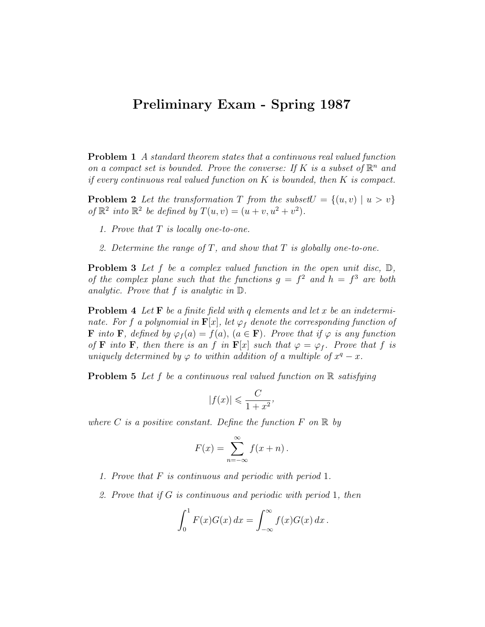## Preliminary Exam - Spring 1987

Problem 1 A standard theorem states that a continuous real valued function on a compact set is bounded. Prove the converse: If K is a subset of  $\mathbb{R}^n$  and if every continuous real valued function on  $K$  is bounded, then  $K$  is compact.

**Problem 2** Let the transformation T from the subset  $U = \{(u, v) | u > v\}$ of  $\mathbb{R}^2$  into  $\mathbb{R}^2$  be defined by  $T(u, v) = (u + v, u^2 + v^2)$ .

- 1. Prove that  $T$  is locally one-to-one.
- 2. Determine the range of T, and show that T is globally one-to-one.

**Problem 3** Let f be a complex valued function in the open unit disc,  $\mathbb{D}$ , of the complex plane such that the functions  $g = f^2$  and  $h = f^3$  are both analytic. Prove that f is analytic in D.

**Problem 4** Let  $\mathbf{F}$  be a finite field with q elements and let x be an indeterminate. For f a polynomial in  $\mathbf{F}[x]$ , let  $\varphi_f$  denote the corresponding function of **F** into **F**, defined by  $\varphi_f(a) = f(a)$ ,  $(a \in \mathbf{F})$ . Prove that if  $\varphi$  is any function of **F** into **F**, then there is an f in **F**[x] such that  $\varphi = \varphi_f$ . Prove that f is uniquely determined by  $\varphi$  to within addition of a multiple of  $x^q - x$ .

**Problem 5** Let f be a continuous real valued function on  $\mathbb{R}$  satisfying

$$
|f(x)| \leqslant \frac{C}{1+x^2},
$$

where C is a positive constant. Define the function  $F$  on  $\mathbb R$  by

$$
F(x) = \sum_{n = -\infty}^{\infty} f(x + n).
$$

- 1. Prove that F is continuous and periodic with period 1.
- 2. Prove that if G is continuous and periodic with period 1, then

$$
\int_0^1 F(x)G(x) dx = \int_{-\infty}^{\infty} f(x)G(x) dx.
$$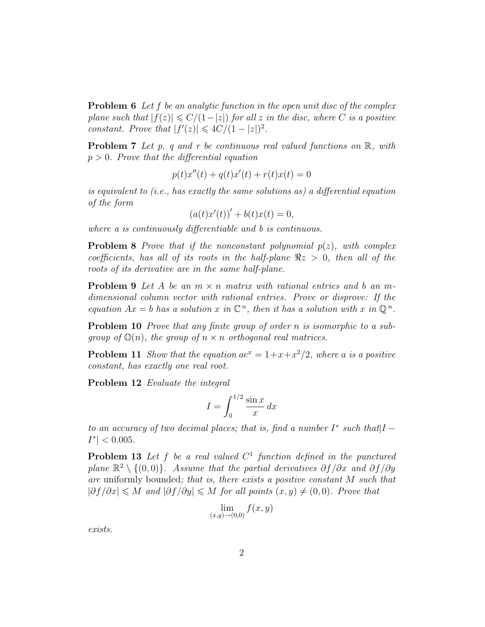**Problem 6** Let f be an analytic function in the open unit disc of the complex plane such that  $|f(z)| \leq C/(1-|z|)$  for all z in the disc, where C is a positive constant. Prove that  $|f'(z)| \leq 4C/(1-|z|)^2$ .

**Problem 7** Let p, q and r be continuous real valued functions on  $\mathbb{R}$ , with  $p > 0$ . Prove that the differential equation

$$
p(t)x''(t) + q(t)x'(t) + r(t)x(t) = 0
$$

is equivalent to (i.e., has exactly the same solutions as) a differential equation of the form

$$
(a(t)x'(t))' + b(t)x(t) = 0,
$$

where a is continuously differentiable and b is continuous.

**Problem 8** Prove that if the nonconstant polynomial  $p(z)$ , with complex coefficients, has all of its roots in the half-plane  $\Re z > 0$ , then all of the roots of its derivative are in the same half-plane.

**Problem 9** Let A be an  $m \times n$  matrix with rational entries and b an mdimensional column vector with rational entries. Prove or disprove: If the equation  $Ax = b$  has a solution x in  $\mathbb{C}^n$ , then it has a solution with x in  $\mathbb{Q}^n$ .

Problem 10 *Prove that any finite group of order n is isomorphic to a sub*group of  $\mathbb{O}(n)$ , the group of  $n \times n$  orthogonal real matrices.

**Problem 11** Show that the equation  $ae^x = 1 + x + x^2/2$ , where a is a positive constant, has exactly one real root.

Problem 12 Evaluate the integral

$$
I = \int_0^{1/2} \frac{\sin x}{x} dx
$$

to an accuracy of two decimal places; that is, find a number  $I^*$  such that  $I |I^*| < 0.005$ .

**Problem 13** Let f be a real valued  $C<sup>1</sup>$  function defined in the punctured plane  $\mathbb{R}^2 \setminus \{(0,0)\}\.$  Assume that the partial derivatives  $\partial f/\partial x$  and  $\partial f/\partial y$ are uniformly bounded; that is, there exists a positive constant M such that  $|\partial f/\partial x| \leqslant M$  and  $|\partial f/\partial y| \leqslant M$  for all points  $(x, y) \neq (0, 0)$ . Prove that

$$
\lim_{(x,y)\to(0,0)} f(x,y)
$$

exists.